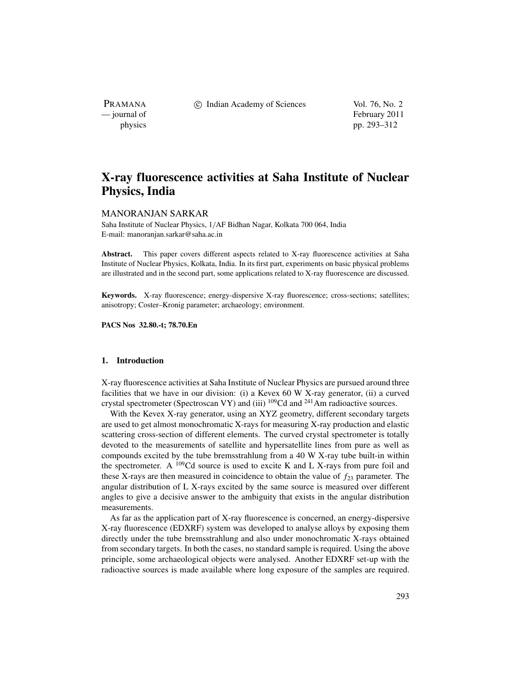PRAMANA

c Indian Academy of Sciences Vol. 76, No. 2

— journal of February 2011 physics pp. 293–312

# **X-ray fluorescence activities at Saha Institute of Nuclear Physics, India**

# MANORANJAN SARKAR

Saha Institute of Nuclear Physics, 1/AF Bidhan Nagar, Kolkata 700 064, India E-mail: manoranjan.sarkar@saha.ac.in

Abstract. This paper covers different aspects related to X-ray fluorescence activities at Saha Institute of Nuclear Physics, Kolkata, India. In its first part, experiments on basic physical problems are illustrated and in the second part, some applications related to X-ray fluorescence are discussed.

**Keywords.** X-ray fluorescence; energy-dispersive X-ray fluorescence; cross-sections; satellites; anisotropy; Coster–Kronig parameter; archaeology; environment.

**PACS Nos 32.80.-t; 78.70.En**

# **1. Introduction**

X-ray fluorescence activities at Saha Institute of Nuclear Physics are pursued around three facilities that we have in our division: (i) a Kevex 60 W X-ray generator, (ii) a curved crystal spectrometer (Spectroscan VY) and (iii) 109Cd and 241Am radioactive sources.

With the Kevex X-ray generator, using an XYZ geometry, different secondary targets are used to get almost monochromatic X-rays for measuring X-ray production and elastic scattering cross-section of different elements. The curved crystal spectrometer is totally devoted to the measurements of satellite and hypersatellite lines from pure as well as compounds excited by the tube bremsstrahlung from a 40 W X-ray tube built-in within the spectrometer. A  $^{109}$ Cd source is used to excite K and L X-rays from pure foil and these X-rays are then measured in coincidence to obtain the value of  $f_{23}$  parameter. The angular distribution of L X-rays excited by the same source is measured over different angles to give a decisive answer to the ambiguity that exists in the angular distribution measurements.

As far as the application part of X-ray fluorescence is concerned, an energy-dispersive X-ray fluorescence (EDXRF) system was developed to analyse alloys by exposing them directly under the tube bremsstrahlung and also under monochromatic X-rays obtained from secondary targets. In both the cases, no standard sample is required. Using the above principle, some archaeological objects were analysed. Another EDXRF set-up with the radioactive sources is made available where long exposure of the samples are required.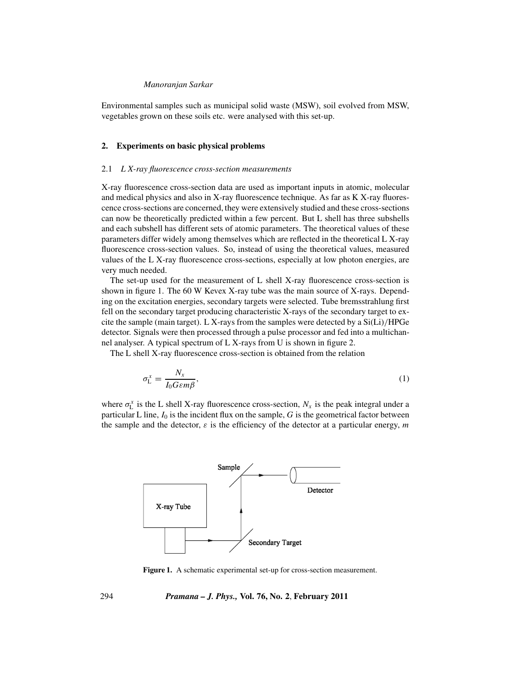Environmental samples such as municipal solid waste (MSW), soil evolved from MSW, vegetables grown on these soils etc. were analysed with this set-up.

## **2. Experiments on basic physical problems**

#### 2.1 *L X-ray fluorescence cross-section measurements*

X-ray fluorescence cross-section data are used as important inputs in atomic, molecular and medical physics and also in X-ray fluorescence technique. As far as K X-ray fluorescence cross-sections are concerned, they were extensively studied and these cross-sections can now be theoretically predicted within a few percent. But L shell has three subshells and each subshell has different sets of atomic parameters. The theoretical values of these parameters differ widely among themselves which are reflected in the theoretical L X-ray fluorescence cross-section values. So, instead of using the theoretical values, measured values of the L X-ray fluorescence cross-sections, especially at low photon energies, are very much needed.

The set-up used for the measurement of L shell X-ray fluorescence cross-section is shown in figure 1. The 60 W Kevex X-ray tube was the main source of X-rays. Depending on the excitation energies, secondary targets were selected. Tube bremsstrahlung first fell on the secondary target producing characteristic X-rays of the secondary target to excite the sample (main target). L X-rays from the samples were detected by a  $Si(Li)/HPGe$ detector. Signals were then processed through a pulse processor and fed into a multichannel analyser. A typical spectrum of L X-rays from U is shown in figure 2.

The L shell X-ray fluorescence cross-section is obtained from the relation

$$
\sigma_{\mathcal{L}}^{x} = \frac{N_{x}}{I_{0}G\epsilon m\beta},\tag{1}
$$

where  $\sigma_{\text{L}}^{x}$  is the L shell X-ray fluorescence cross-section,  $N_{x}$  is the peak integral under a particular L line,  $I_0$  is the incident flux on the sample,  $G$  is the geometrical factor between the sample and the detector,  $\varepsilon$  is the efficiency of the detector at a particular energy, *m* 



**Figure 1.** A schematic experimental set-up for cross-section measurement.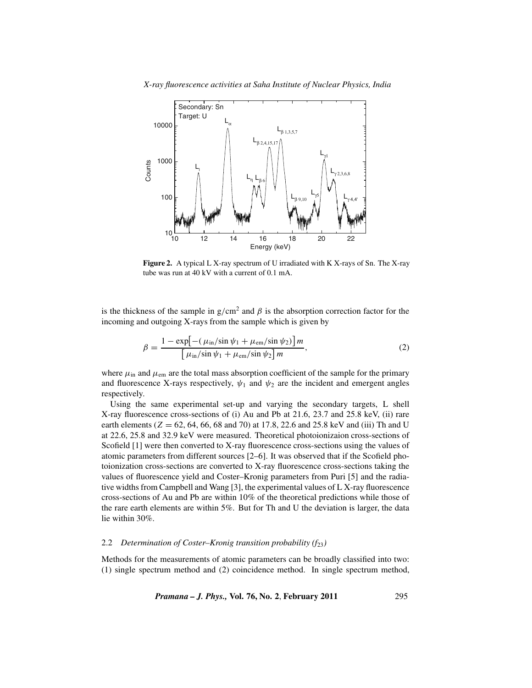



**Figure 2.** A typical L X-ray spectrum of U irradiated with K X-rays of Sn. The X-ray tube was run at 40 kV with a current of 0.1 mA.

is the thickness of the sample in  $g/cm^2$  and  $\beta$  is the absorption correction factor for the incoming and outgoing X-rays from the sample which is given by

$$
\beta = \frac{1 - \exp\left[-\left(\mu_{\rm in}/\sin\psi_1 + \mu_{\rm em}/\sin\psi_2\right)\right]m}{\left[\mu_{\rm in}/\sin\psi_1 + \mu_{\rm em}/\sin\psi_2\right]m},\tag{2}
$$

where  $\mu_{\text{in}}$  and  $\mu_{\text{em}}$  are the total mass absorption coefficient of the sample for the primary and fluorescence X-rays respectively,  $\psi_1$  and  $\psi_2$  are the incident and emergent angles respectively.

Using the same experimental set-up and varying the secondary targets, L shell X-ray fluorescence cross-sections of (i) Au and Pb at 21.6, 23.7 and 25.8 keV, (ii) rare earth elements ( $Z = 62, 64, 66, 68$  and  $70$ ) at 17.8, 22.6 and 25.8 keV and (iii) Th and U at 22.6, 25.8 and 32.9 keV were measured. Theoretical photoionizaion cross-sections of Scofield [1] were then converted to X-ray fluorescence cross-sections using the values of atomic parameters from different sources [2–6]. It was observed that if the Scofield photoionization cross-sections are converted to X-ray fluorescence cross-sections taking the values of fluorescence yield and Coster–Kronig parameters from Puri [5] and the radiative widths from Campbell and Wang [3], the experimental values of L X-ray fluorescence cross-sections of Au and Pb are within 10% of the theoretical predictions while those of the rare earth elements are within 5%. But for Th and U the deviation is larger, the data lie within 30%.

# 2.2 *Determination of Coster–Kronig transition probability (f<sub>23</sub>)*

Methods for the measurements of atomic parameters can be broadly classified into two: (1) single spectrum method and (2) coincidence method. In single spectrum method,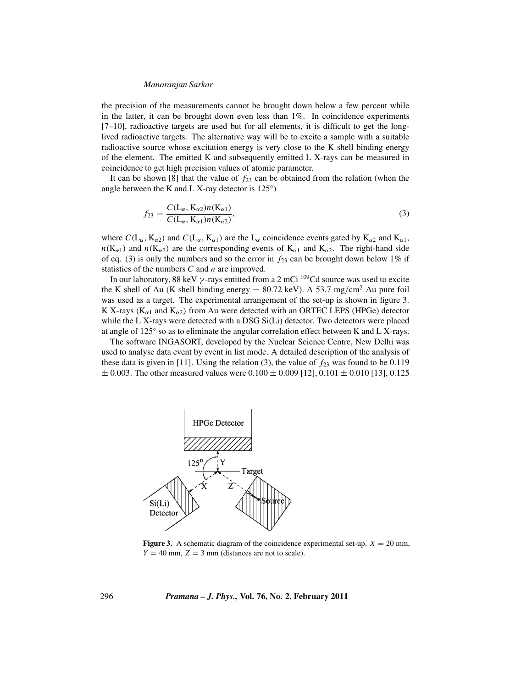the precision of the measurements cannot be brought down below a few percent while in the latter, it can be brought down even less than 1%. In coincidence experiments  $[7–10]$ , radioactive targets are used but for all elements, it is difficult to get the longlived radioactive targets. The alternative way will be to excite a sample with a suitable radioactive source whose excitation energy is very close to the K shell binding energy of the element. The emitted K and subsequently emitted L X-rays can be measured in coincidence to get high precision values of atomic parameter.

It can be shown [8] that the value of  $f_{23}$  can be obtained from the relation (when the angle between the K and L X-ray detector is 125◦)

$$
f_{23} = \frac{C(L_{\alpha}, K_{\alpha 2})n(K_{\alpha 1})}{C(L_{\alpha}, K_{\alpha 1})n(K_{\alpha 2})},
$$
\n(3)

where  $C(L_{\alpha}, K_{\alpha 2})$  and  $C(L_{\alpha}, K_{\alpha 1})$  are the  $L_{\alpha}$  coincidence events gated by  $K_{\alpha 2}$  and  $K_{\alpha 1}$ ,  $n(K_{\alpha 1})$  and  $n(K_{\alpha 2})$  are the corresponding events of  $K_{\alpha 1}$  and  $K_{\alpha 2}$ . The right-hand side of eq. (3) is only the numbers and so the error in  $f_{23}$  can be brought down below 1% if statistics of the numbers *C* and *n* are improved.

In our laboratory, 88 keV  $\gamma$ -rays emitted from a 2 mCi  $^{109}$ Cd source was used to excite the K shell of Au (K shell binding energy =  $80.72 \text{ keV}$ ). A 53.7 mg/cm<sup>2</sup> Au pure foil was used as a target. The experimental arrangement of the set-up is shown in figure 3. K X-rays ( $K_{\alpha1}$  and  $K_{\alpha2}$ ) from Au were detected with an ORTEC LEPS (HPGe) detector while the L X-rays were detected with a DSG Si(Li) detector. Two detectors were placed at angle of 125◦ so as to eliminate the angular correlation effect between K and L X-rays.

The software INGASORT, developed by the Nuclear Science Centre, New Delhi was used to analyse data event by event in list mode. A detailed description of the analysis of these data is given in [11]. Using the relation (3), the value of  $f_{23}$  was found to be 0.119  $\pm$  0.003. The other measured values were 0.100  $\pm$  0.009 [12], 0.101  $\pm$  0.010 [13], 0.125



**Figure 3.** A schematic diagram of the coincidence experimental set-up.  $X = 20$  mm,  $Y = 40$  mm,  $Z = 3$  mm (distances are not to scale).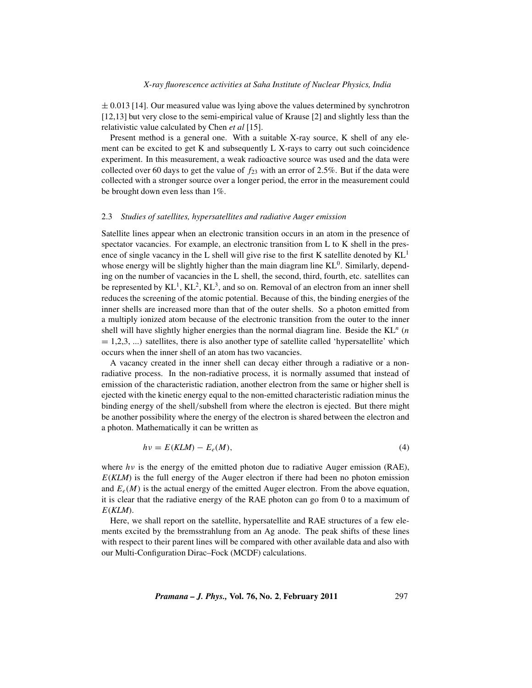$\pm$  0.013 [14]. Our measured value was lying above the values determined by synchrotron [12,13] but very close to the semi-empirical value of Krause [2] and slightly less than the relativistic value calculated by Chen *et al* [15].

Present method is a general one. With a suitable X-ray source, K shell of any element can be excited to get K and subsequently L X-rays to carry out such coincidence experiment. In this measurement, a weak radioactive source was used and the data were collected over 60 days to get the value of  $f_{23}$  with an error of 2.5%. But if the data were collected with a stronger source over a longer period, the error in the measurement could be brought down even less than 1%.

# 2.3 *Studies of satellites, hypersatellites and radiative Auger emission*

Satellite lines appear when an electronic transition occurs in an atom in the presence of spectator vacancies. For example, an electronic transition from L to K shell in the presence of single vacancy in the L shell will give rise to the first K satellite denoted by  $KL<sup>1</sup>$ whose energy will be slightly higher than the main diagram line  $KL<sup>0</sup>$ . Similarly, depending on the number of vacancies in the L shell, the second, third, fourth, etc. satellites can be represented by  $KL^1$ ,  $KL^2$ ,  $KL^3$ , and so on. Removal of an electron from an inner shell reduces the screening of the atomic potential. Because of this, the binding energies of the inner shells are increased more than that of the outer shells. So a photon emitted from a multiply ionized atom because of the electronic transition from the outer to the inner shell will have slightly higher energies than the normal diagram line. Beside the KL*<sup>n</sup>* (*n*  $= 1,2,3,...$ ) satellites, there is also another type of satellite called 'hypersatellite' which occurs when the inner shell of an atom has two vacancies.

A vacancy created in the inner shell can decay either through a radiative or a nonradiative process. In the non-radiative process, it is normally assumed that instead of emission of the characteristic radiation, another electron from the same or higher shell is ejected with the kinetic energy equal to the non-emitted characteristic radiation minus the binding energy of the shell/subshell from where the electron is ejected. But there might be another possibility where the energy of the electron is shared between the electron and a photon. Mathematically it can be written as

$$
h\nu = E(KLM) - E_e(M),\tag{4}
$$

where  $h\nu$  is the energy of the emitted photon due to radiative Auger emission (RAE), *E*(*KLM*) is the full energy of the Auger electron if there had been no photon emission and  $E_e(M)$  is the actual energy of the emitted Auger electron. From the above equation, it is clear that the radiative energy of the RAE photon can go from 0 to a maximum of *E*(*KLM*).

Here, we shall report on the satellite, hypersatellite and RAE structures of a few elements excited by the bremsstrahlung from an Ag anode. The peak shifts of these lines with respect to their parent lines will be compared with other available data and also with our Multi-Configuration Dirac–Fock (MCDF) calculations.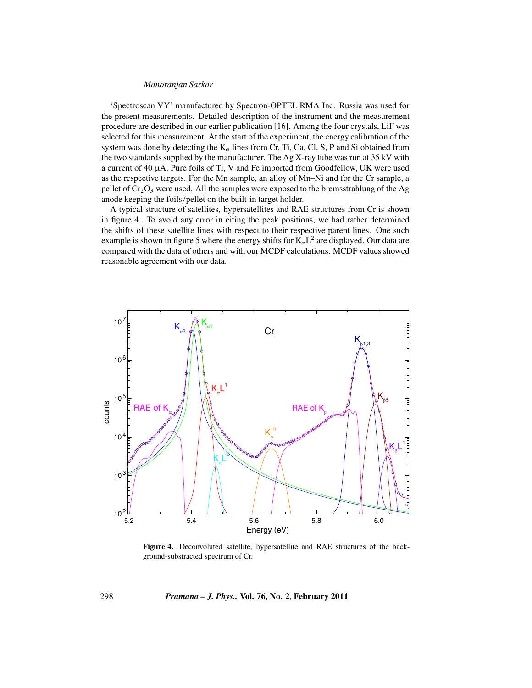'Spectroscan VY' manufactured by Spectron-OPTEL RMA Inc. Russia was used for the present measurements. Detailed description of the instrument and the measurement procedure are described in our earlier publication [16]. Among the four crystals, LiF was selected for this measurement. At the start of the experiment, the energy calibration of the system was done by detecting the  $K_{\alpha}$  lines from Cr, Ti, Ca, Cl, S, P and Si obtained from the two standards supplied by the manufacturer. The Ag X-ray tube was run at 35 kV with a current of 40  $\mu$ A. Pure foils of Ti, V and Fe imported from Goodfellow, UK were used as the respective targets. For the Mn sample, an alloy of Mn–Ni and for the Cr sample, a pellet of  $Cr_2O_3$  were used. All the samples were exposed to the bremsstrahlung of the Ag anode keeping the foils/pellet on the built-in target holder.

A typical structure of satellites, hypersatellites and RAE structures from Cr is shown in figure 4. To avoid any error in citing the peak positions, we had rather determined the shifts of these satellite lines with respect to their respective parent lines. One such example is shown in figure 5 where the energy shifts for  $K_{\alpha}L^2$  are displayed. Our data are compared with the data of others and with our MCDF calculations. MCDF values showed reasonable agreement with our data.



**Figure 4.** Deconvoluted satellite, hypersatellite and RAE structures of the background-substracted spectrum of Cr.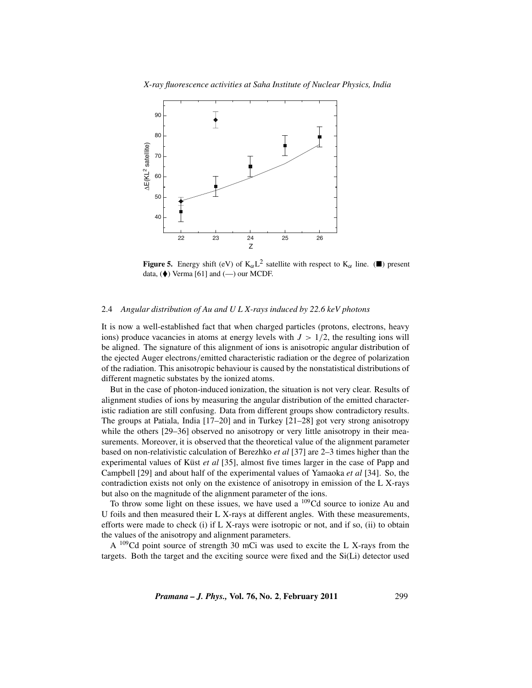

**Figure 5.** Energy shift (eV) of  $K_{\alpha}L^2$  satellite with respect to  $K_{\alpha}$  line. ( $\blacksquare$ ) present data,  $(\blacklozenge)$  Verma [61] and  $(\text{---})$  our MCDF.

# 2.4 *Angular distribution of Au and U L X-rays induced by 22.6 keV photons*

It is now a well-established fact that when charged particles (protons, electrons, heavy ions) produce vacancies in atoms at energy levels with  $J > 1/2$ , the resulting ions will be aligned. The signature of this alignment of ions is anisotropic angular distribution of the ejected Auger electrons/emitted characteristic radiation or the degree of polarization of the radiation. This anisotropic behaviour is caused by the nonstatistical distributions of different magnetic substates by the ionized atoms.

But in the case of photon-induced ionization, the situation is not very clear. Results of alignment studies of ions by measuring the angular distribution of the emitted characteristic radiation are still confusing. Data from different groups show contradictory results. The groups at Patiala, India [17–20] and in Turkey [21–28] got very strong anisotropy while the others [29–36] observed no anisotropy or very little anisotropy in their measurements. Moreover, it is observed that the theoretical value of the alignment parameter based on non-relativistic calculation of Berezhko *et al* [37] are 2–3 times higher than the experimental values of Küst *et al* [35], almost five times larger in the case of Papp and Campbell [29] and about half of the experimental values of Yamaoka *et al* [34]. So, the contradiction exists not only on the existence of anisotropy in emission of the L X-rays but also on the magnitude of the alignment parameter of the ions.

To throw some light on these issues, we have used a  $^{109}$ Cd source to ionize Au and U foils and then measured their L X-rays at different angles. With these measurements, efforts were made to check (i) if L X-rays were isotropic or not, and if so, (ii) to obtain the values of the anisotropy and alignment parameters.

A <sup>109</sup>Cd point source of strength 30 mCi was used to excite the L X-rays from the targets. Both the target and the exciting source were fixed and the Si(Li) detector used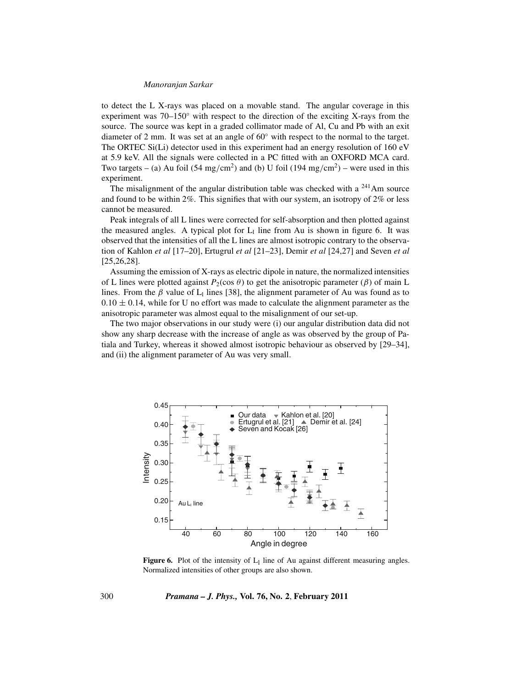to detect the L X-rays was placed on a movable stand. The angular coverage in this experiment was 70–150◦ with respect to the direction of the exciting X-rays from the source. The source was kept in a graded collimator made of Al, Cu and Pb with an exit diameter of 2 mm. It was set at an angle of 60◦ with respect to the normal to the target. The ORTEC Si(Li) detector used in this experiment had an energy resolution of 160 eV at 5.9 keV. All the signals were collected in a PC fitted with an OXFORD MCA card. Two targets – (a) Au foil (54 mg/cm<sup>2</sup>) and (b) U foil (194 mg/cm<sup>2</sup>) – were used in this experiment.

The misalignment of the angular distribution table was checked with a  $^{241}$ Am source and found to be within  $2\%$ . This signifies that with our system, an isotropy of  $2\%$  or less cannot be measured.

Peak integrals of all L lines were corrected for self-absorption and then plotted against the measured angles. A typical plot for  $L_1$  line from Au is shown in figure 6. It was observed that the intensities of all the L lines are almost isotropic contrary to the observation of Kahlon *et al* [17–20], Ertugrul *et al* [21–23], Demir *et al* [24,27] and Seven *et al* [25,26,28].

Assuming the emission of X-rays as electric dipole in nature, the normalized intensities of L lines were plotted against  $P_2(\cos \theta)$  to get the anisotropic parameter ( $\beta$ ) of main L lines. From the  $\beta$  value of L<sub>l</sub> lines [38], the alignment parameter of Au was found as to  $0.10 \pm 0.14$ , while for U no effort was made to calculate the alignment parameter as the anisotropic parameter was almost equal to the misalignment of our set-up.

The two major observations in our study were (i) our angular distribution data did not show any sharp decrease with the increase of angle as was observed by the group of Patiala and Turkey, whereas it showed almost isotropic behaviour as observed by [29–34], and (ii) the alignment parameter of Au was very small.



**Figure 6.** Plot of the intensity of  $L_1$  line of Au against different measuring angles. Normalized intensities of other groups are also shown.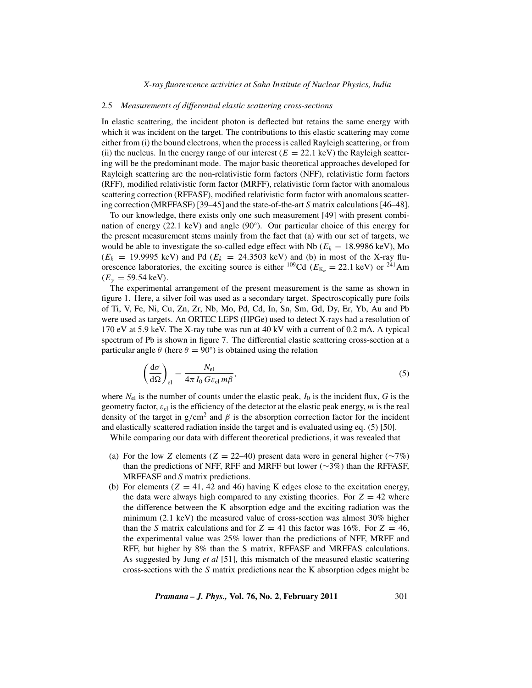## 2.5 *Measurements of differential elastic scattering cross-sections*

In elastic scattering, the incident photon is deflected but retains the same energy with which it was incident on the target. The contributions to this elastic scattering may come either from (i) the bound electrons, when the process is called Rayleigh scattering, or from (ii) the nucleus. In the energy range of our interest  $(E = 22.1 \text{ keV})$  the Rayleigh scattering will be the predominant mode. The major basic theoretical approaches developed for Rayleigh scattering are the non-relativistic form factors (NFF), relativistic form factors (RFF), modified relativistic form factor (MRFF), relativistic form factor with anomalous scattering correction (RFFASF), modified relativistic form factor with anomalous scattering correction (MRFFASF) [39–45] and the state-of-the-art *S* matrix calculations [46–48].

To our knowledge, there exists only one such measurement [49] with present combination of energy  $(22.1 \text{ keV})$  and angle  $(90°)$ . Our particular choice of this energy for the present measurement stems mainly from the fact that (a) with our set of targets, we would be able to investigate the so-called edge effect with Nb  $(E_k = 18.9986 \text{ keV})$ , Mo  $(E_k = 19.9995 \text{ keV})$  and Pd  $(E_k = 24.3503 \text{ keV})$  and (b) in most of the X-ray fluorescence laboratories, the exciting source is either <sup>109</sup>Cd ( $E_{K_{\alpha}} = 22.1 \text{ keV}$ ) or <sup>241</sup>Am  $(E<sub>y</sub> = 59.54 \text{ keV}).$ 

The experimental arrangement of the present measurement is the same as shown in figure 1. Here, a silver foil was used as a secondary target. Spectroscopically pure foils of Ti, V, Fe, Ni, Cu, Zn, Zr, Nb, Mo, Pd, Cd, In, Sn, Sm, Gd, Dy, Er, Yb, Au and Pb were used as targets. An ORTEC LEPS (HPGe) used to detect X-rays had a resolution of 170 eV at 5.9 keV. The X-ray tube was run at 40 kV with a current of 0.2 mA. A typical spectrum of Pb is shown in figure 7. The differential elastic scattering cross-section at a particular angle  $\theta$  (here  $\theta = 90^{\circ}$ ) is obtained using the relation

$$
\left(\frac{d\sigma}{d\Omega}\right)_{\text{el}} = \frac{N_{\text{el}}}{4\pi I_0 G \varepsilon_{\text{el}} m\beta},\tag{5}
$$

where  $N_{el}$  is the number of counts under the elastic peak,  $I_0$  is the incident flux,  $G$  is the geometry factor,  $\varepsilon_{el}$  is the efficiency of the detector at the elastic peak energy, *m* is the real density of the target in g/cm<sup>2</sup> and  $\beta$  is the absorption correction factor for the incident and elastically scattered radiation inside the target and is evaluated using eq. (5) [50].

While comparing our data with different theoretical predictions, it was revealed that

- (a) For the low *Z* elements (*Z* = 22–40) present data were in general higher ( $\sim$ 7%) than the predictions of NFF, RFF and MRFF but lower ( $\sim$ 3%) than the RFFASF, MRFFASF and *S* matrix predictions.
- (b) For elements  $(Z = 41, 42, 46)$  having K edges close to the excitation energy, the data were always high compared to any existing theories. For  $Z = 42$  where the difference between the K absorption edge and the exciting radiation was the minimum (2.1 keV) the measured value of cross-section was almost 30% higher than the *S* matrix calculations and for  $Z = 41$  this factor was 16%. For  $Z = 46$ , the experimental value was 25% lower than the predictions of NFF, MRFF and RFF, but higher by 8% than the S matrix, RFFASF and MRFFAS calculations. As suggested by Jung *et al* [51], this mismatch of the measured elastic scattering cross-sections with the *S* matrix predictions near the K absorption edges might be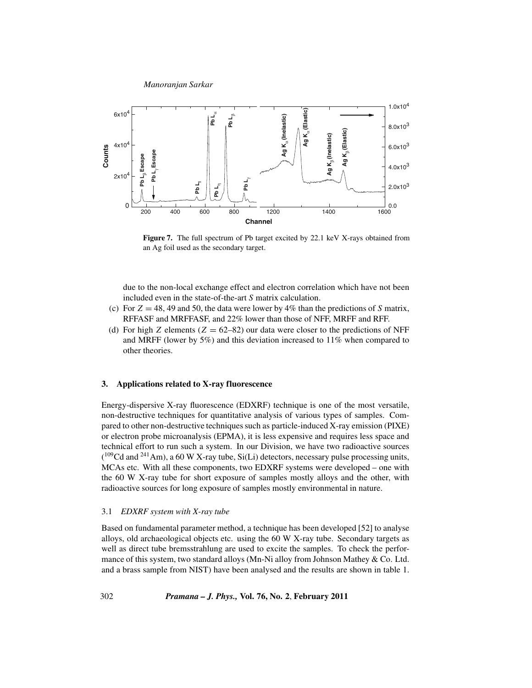

**Figure 7.** The full spectrum of Pb target excited by 22.1 keV X-rays obtained from an Ag foil used as the secondary target.

due to the non-local exchange effect and electron correlation which have not been included even in the state-of-the-art *S* matrix calculation.

- (c) For  $Z = 48, 49$  and 50, the data were lower by  $4\%$  than the predictions of *S* matrix, RFFASF and MRFFASF, and 22% lower than those of NFF, MRFF and RFF.
- (d) For high *Z* elements ( $Z = 62-82$ ) our data were closer to the predictions of NFF and MRFF (lower by 5%) and this deviation increased to 11% when compared to other theories.

#### **3. Applications related to X-ray fluorescence**

Energy-dispersive X-ray fluorescence (EDXRF) technique is one of the most versatile, non-destructive techniques for quantitative analysis of various types of samples. Compared to other non-destructive techniques such as particle-induced X-ray emission (PIXE) or electron probe microanalysis (EPMA), it is less expensive and requires less space and technical effort to run such a system. In our Division, we have two radioactive sources  $(^{109}$ Cd and <sup>241</sup>Am), a 60 W X-ray tube, Si(Li) detectors, necessary pulse processing units, MCAs etc. With all these components, two EDXRF systems were developed – one with the 60 W X-ray tube for short exposure of samples mostly alloys and the other, with radioactive sources for long exposure of samples mostly environmental in nature.

#### 3.1 *EDXRF system with X-ray tube*

Based on fundamental parameter method, a technique has been developed [52] to analyse alloys, old archaeological objects etc. using the 60 W X-ray tube. Secondary targets as well as direct tube bremsstrahlung are used to excite the samples. To check the performance of this system, two standard alloys (Mn-Ni alloy from Johnson Mathey & Co. Ltd. and a brass sample from NIST) have been analysed and the results are shown in table 1.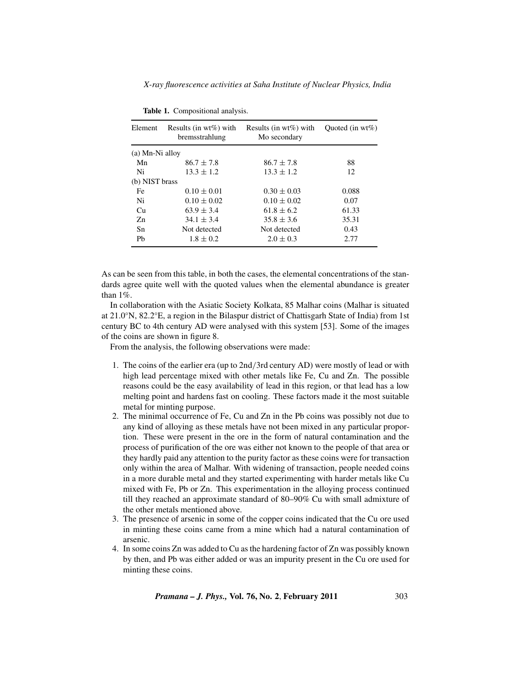*X-ray fluorescence activities at Saha Institute of Nuclear Physics, India*

| Element         | Results (in $wt\%$ ) with<br>bremsstrahlung | Results (in $wt\%$ ) with<br>Mo secondary | Ouoted (in $wt\%$ ) |
|-----------------|---------------------------------------------|-------------------------------------------|---------------------|
| (a) Mn-Ni alloy |                                             |                                           |                     |
| Mn              | $86.7 \pm 7.8$                              | $86.7 \pm 7.8$                            | 88                  |
| Ni              | $13.3 \pm 1.2$                              | $13.3 \pm 1.2$                            | 12                  |
| (b) NIST brass  |                                             |                                           |                     |
| Fe              | $0.10 \pm 0.01$                             | $0.30 \pm 0.03$                           | 0.088               |
| Ni              | $0.10 \pm 0.02$                             | $0.10 \pm 0.02$                           | 0.07                |
| Cu              | $63.9 \pm 3.4$                              | $61.8 \pm 6.2$                            | 61.33               |
| Zn              | $34.1 \pm 3.4$                              | $35.8 \pm 3.6$                            | 35.31               |
| Sn              | Not detected                                | Not detected                              | 0.43                |
| Ph              | $1.8 \pm 0.2$                               | $2.0 \pm 0.3$                             | 2.77                |

**Table 1.** Compositional analysis.

As can be seen from this table, in both the cases, the elemental concentrations of the standards agree quite well with the quoted values when the elemental abundance is greater than 1%.

In collaboration with the Asiatic Society Kolkata, 85 Malhar coins (Malhar is situated at 21.0◦N, 82.2◦E, a region in the Bilaspur district of Chattisgarh State of India) from 1st century BC to 4th century AD were analysed with this system [53]. Some of the images of the coins are shown in figure 8.

From the analysis, the following observations were made:

- 1. The coins of the earlier era (up to 2nd/3rd century AD) were mostly of lead or with high lead percentage mixed with other metals like Fe, Cu and Zn. The possible reasons could be the easy availability of lead in this region, or that lead has a low melting point and hardens fast on cooling. These factors made it the most suitable metal for minting purpose.
- 2. The minimal occurrence of Fe, Cu and Zn in the Pb coins was possibly not due to any kind of alloying as these metals have not been mixed in any particular proportion. These were present in the ore in the form of natural contamination and the process of purification of the ore was either not known to the people of that area or they hardly paid any attention to the purity factor as these coins were for transaction only within the area of Malhar. With widening of transaction, people needed coins in a more durable metal and they started experimenting with harder metals like Cu mixed with Fe, Pb or Zn. This experimentation in the alloying process continued till they reached an approximate standard of 80–90% Cu with small admixture of the other metals mentioned above.
- 3. The presence of arsenic in some of the copper coins indicated that the Cu ore used in minting these coins came from a mine which had a natural contamination of arsenic.
- 4. In some coins Zn was added to Cu as the hardening factor of Zn was possibly known by then, and Pb was either added or was an impurity present in the Cu ore used for minting these coins.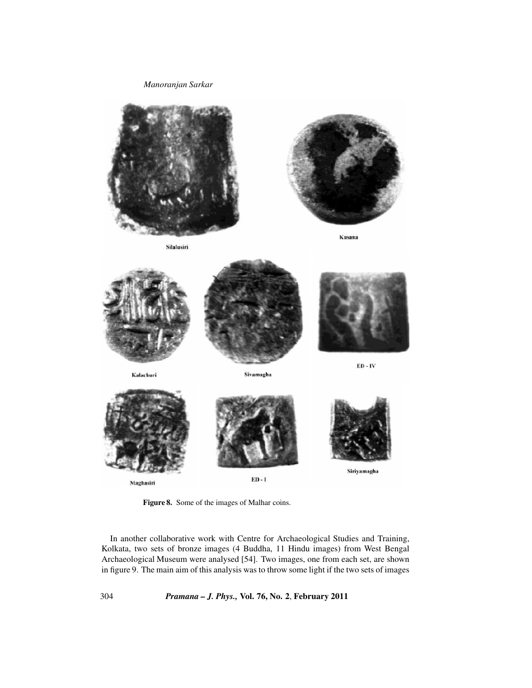

**Figure 8.** Some of the images of Malhar coins.

In another collaborative work with Centre for Archaeological Studies and Training, Kolkata, two sets of bronze images (4 Buddha, 11 Hindu images) from West Bengal Archaeological Museum were analysed [54]. Two images, one from each set, are shown in figure 9. The main aim of this analysis was to throw some light if the two sets of images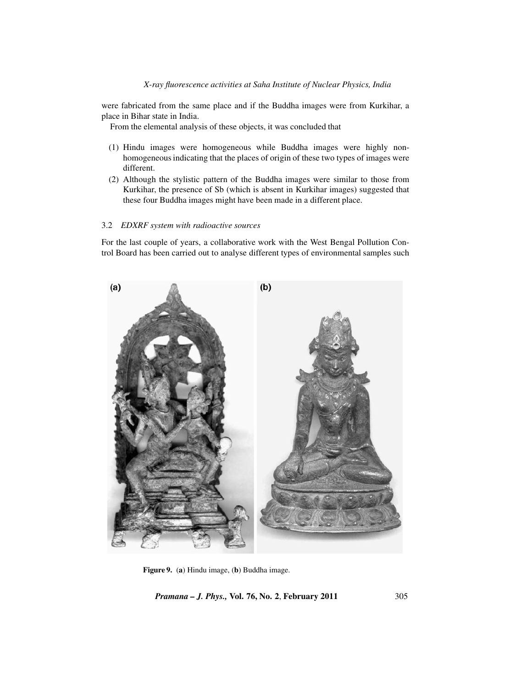were fabricated from the same place and if the Buddha images were from Kurkihar, a place in Bihar state in India.

From the elemental analysis of these objects, it was concluded that

- (1) Hindu images were homogeneous while Buddha images were highly nonhomogeneous indicating that the places of origin of these two types of images were different.
- (2) Although the stylistic pattern of the Buddha images were similar to those from Kurkihar, the presence of Sb (which is absent in Kurkihar images) suggested that these four Buddha images might have been made in a different place.

# 3.2 *EDXRF system with radioactive sources*

For the last couple of years, a collaborative work with the West Bengal Pollution Control Board has been carried out to analyse different types of environmental samples such



**Figure 9.** (**a**) Hindu image, (**b**) Buddha image.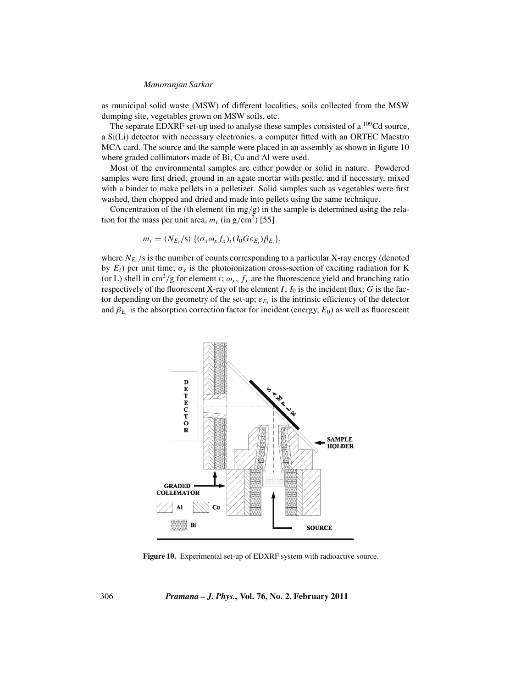as municipal solid waste (MSW) of different localities, soils collected from the MSW dumping site, vegetables grown on MSW soils, etc.

The separate EDXRF set-up used to analyse these samples consisted of a  $^{109}$ Cd source, a Si(Li) detector with necessary electronics, a computer fitted with an ORTEC Maestro MCA card. The source and the sample were placed in an assembly as shown in figure 10 where graded collimators made of Bi, Cu and Al were used.

Most of the environmental samples are either powder or solid in nature. Powdered samples were first dried, ground in an agate mortar with pestle, and if necessary, mixed with a binder to make pellets in a pelletizer. Solid samples such as vegetables were first washed, then chopped and dried and made into pellets using the same technique.

Concentration of the *i*th element (in mg/g) in the sample is determined using the relation for the mass per unit area,  $m_i$  (in g/cm<sup>2</sup>) [55]

$$
m_i = (N_{E_i}/s) \{(\sigma_x \omega_x f_x)_i (I_0 G \varepsilon_{E_i}) \beta_{E_i}\},
$$

where  $N_{E_i}$ /s is the number of counts corresponding to a particular X-ray energy (denoted by  $E_i$ ) per unit time;  $\sigma_x$  is the photoionization cross-section of exciting radiation for K (or L) shell in cm<sup>2</sup>/g for element *i*;  $\omega_x$ ,  $f_x$  are the fluorescence yield and branching ratio respectively of the fluorescent X-ray of the element  $I$ ,  $I_0$  is the incident flux;  $G$  is the factor depending on the geometry of the set-up;  $\varepsilon_{E_i}$  is the intrinsic efficiency of the detector and  $\beta_{E_i}$  is the absorption correction factor for incident (energy,  $E_0$ ) as well as fluorescent



**Figure 10.** Experimental set-up of EDXRF system with radioactive source.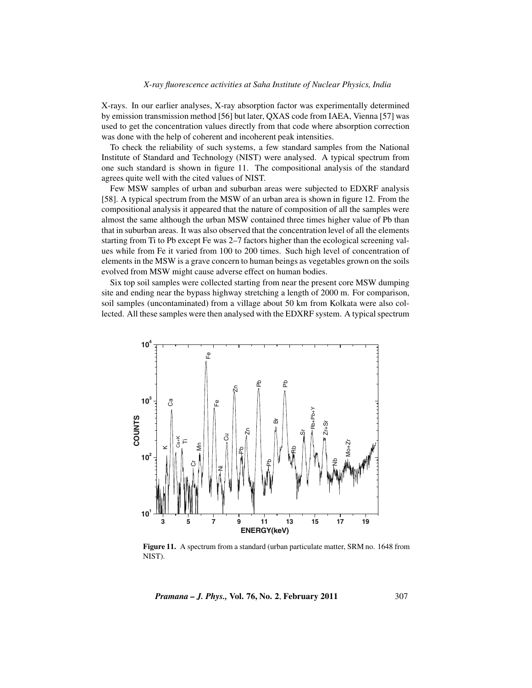X-rays. In our earlier analyses, X-ray absorption factor was experimentally determined by emission transmission method [56] but later, QXAS code from IAEA, Vienna [57] was used to get the concentration values directly from that code where absorption correction was done with the help of coherent and incoherent peak intensities.

To check the reliability of such systems, a few standard samples from the National Institute of Standard and Technology (NIST) were analysed. A typical spectrum from one such standard is shown in figure 11. The compositional analysis of the standard agrees quite well with the cited values of NIST.

Few MSW samples of urban and suburban areas were subjected to EDXRF analysis [58]. A typical spectrum from the MSW of an urban area is shown in figure 12. From the compositional analysis it appeared that the nature of composition of all the samples were almost the same although the urban MSW contained three times higher value of Pb than that in suburban areas. It was also observed that the concentration level of all the elements starting from Ti to Pb except Fe was 2–7 factors higher than the ecological screening values while from Fe it varied from 100 to 200 times. Such high level of concentration of elements in the MSW is a grave concern to human beings as vegetables grown on the soils evolved from MSW might cause adverse effect on human bodies.

Six top soil samples were collected starting from near the present core MSW dumping site and ending near the bypass highway stretching a length of 2000 m. For comparison, soil samples (uncontaminated) from a village about 50 km from Kolkata were also collected. All these samples were then analysed with the EDXRF system. A typical spectrum



**Figure 11.** A spectrum from a standard (urban particulate matter, SRM no. 1648 from NIST).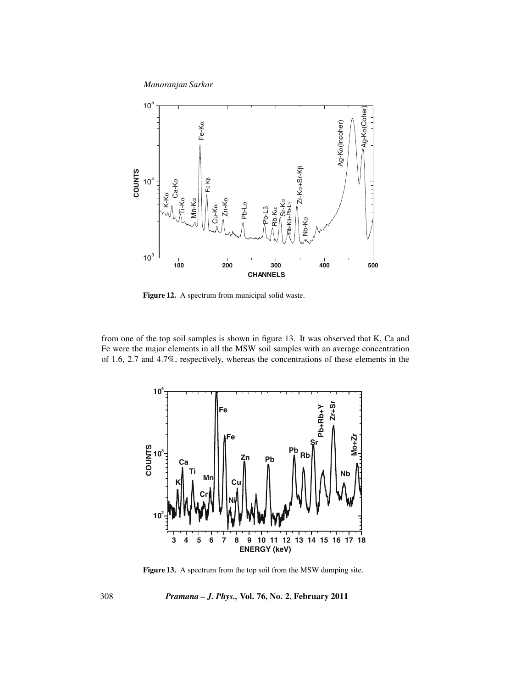

**Figure 12.** A spectrum from municipal solid waste.

from one of the top soil samples is shown in figure 13. It was observed that K, Ca and Fe were the major elements in all the MSW soil samples with an average concentration of 1.6, 2.7 and 4.7%, respectively, whereas the concentrations of these elements in the



Figure 13. A spectrum from the top soil from the MSW dumping site.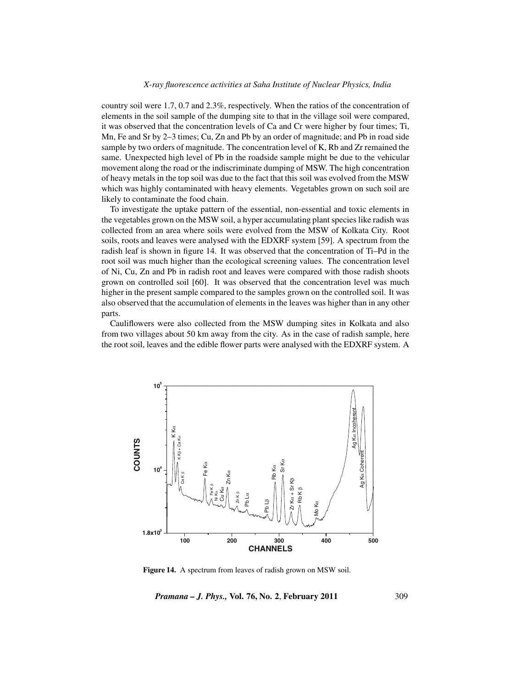## *X-ray fluorescence activities at Saha Institute of Nuclear Physics, India*

country soil were 1.7, 0.7 and 2.3%, respectively. When the ratios of the concentration of elements in the soil sample of the dumping site to that in the village soil were compared, it was observed that the concentration levels of Ca and Cr were higher by four times; Ti, Mn, Fe and Sr by 2–3 times; Cu, Zn and Pb by an order of magnitude; and Pb in road side sample by two orders of magnitude. The concentration level of K, Rb and Zr remained the same. Unexpected high level of Pb in the roadside sample might be due to the vehicular movement along the road or the indiscriminate dumping of MSW. The high concentration of heavy metals in the top soil was due to the fact that this soil was evolved from the MSW which was highly contaminated with heavy elements. Vegetables grown on such soil are likely to contaminate the food chain.

To investigate the uptake pattern of the essential, non-essential and toxic elements in the vegetables grown on the MSW soil, a hyper accumulating plant species like radish was collected from an area where soils were evolved from the MSW of Kolkata City. Root soils, roots and leaves were analysed with the EDXRF system [59]. A spectrum from the radish leaf is shown in figure 14. It was observed that the concentration of Ti–Pd in the root soil was much higher than the ecological screening values. The concentration level of Ni, Cu, Zn and Pb in radish root and leaves were compared with those radish shoots grown on controlled soil [60]. It was observed that the concentration level was much higher in the present sample compared to the samples grown on the controlled soil. It was also observed that the accumulation of elements in the leaves was higher than in any other parts.

Cauliflowers were also collected from the MSW dumping sites in Kolkata and also from two villages about 50 km away from the city. As in the case of radish sample, here the root soil, leaves and the edible flower parts were analysed with the EDXRF system. A



**Figure 14.** A spectrum from leaves of radish grown on MSW soil.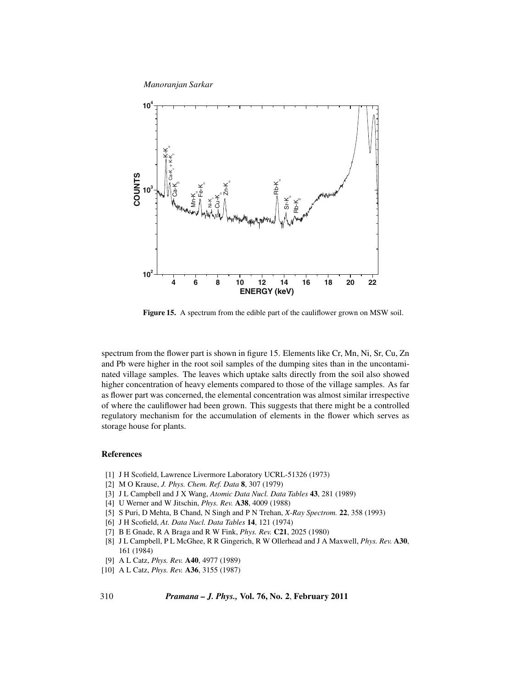

**Figure 15.** A spectrum from the edible part of the cauliflower grown on MSW soil.

spectrum from the flower part is shown in figure 15. Elements like Cr, Mn, Ni, Sr, Cu, Zn and Pb were higher in the root soil samples of the dumping sites than in the uncontaminated village samples. The leaves which uptake salts directly from the soil also showed higher concentration of heavy elements compared to those of the village samples. As far as flower part was concerned, the elemental concentration was almost similar irrespective of where the cauliflower had been grown. This suggests that there might be a controlled regulatory mechanism for the accumulation of elements in the flower which serves as storage house for plants.

# **References**

- [1] J H Scofield, Lawrence Livermore Laboratory UCRL-51326 (1973)
- [2] M O Krause, *J. Phys. Chem. Ref. Data* **8**, 307 (1979)
- [3] J L Campbell and J X Wang, *Atomic Data Nucl. Data Tables* **43**, 281 (1989)
- [4] U Werner and W Jitschin, *Phys. Rev.* **A38**, 4009 (1988)
- [5] S Puri, D Mehta, B Chand, N Singh and P N Trehan, *X-Ray Spectrom.* **22**, 358 (1993)
- [6] J H Scofield, *At. Data Nucl. Data Tables* **14**, 121 (1974)
- [7] B E Gnade, R A Braga and R W Fink, *Phys. Rev.* **C21**, 2025 (1980)
- [8] J L Campbell, P L McGhee, R R Gingerich, R W Ollerhead and J A Maxwell, *Phys. Rev.* **A30**, 161 (1984)
- [9] A L Catz, *Phys. Rev.* **A40**, 4977 (1989)
- [10] A L Catz, *Phys. Rev.* **A36**, 3155 (1987)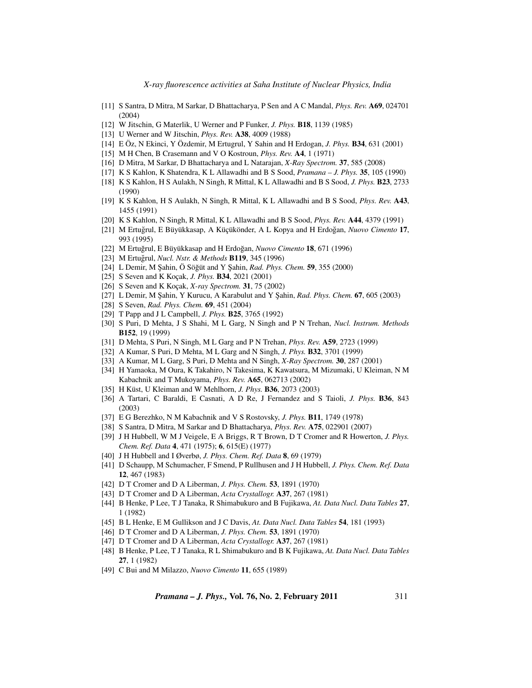*X-ray fluorescence activities at Saha Institute of Nuclear Physics, India*

- [11] S Santra, D Mitra, M Sarkar, D Bhattacharya, P Sen and A C Mandal, *Phys. Rev.* **A69**, 024701 (2004)
- [12] W Jitschin, G Materlik, U Werner and P Funker, *J. Phys.* **B18**, 1139 (1985)
- [13] U Werner and W Jitschin, *Phys. Rev.* **A38**, 4009 (1988)
- [14] E Öz, N Ekinci, Y Özdemir, M Ertugrul, Y Sahin and H Erdogan, *J. Phys.* **B34**, 631 (2001)
- [15] M H Chen, B Crasemann and V O Kostroun, *Phys. Rev.* **A4**, 1 (1971)
- [16] D Mitra, M Sarkar, D Bhattacharya and L Natarajan, *X-Ray Spectrom.* **37**, 585 (2008)
- [17] K S Kahlon, K Shatendra, K L Allawadhi and B S Sood, *Pramana J. Phys.* **35**, 105 (1990)
- [18] K S Kahlon, H S Aulakh, N Singh, R Mittal, K L Allawadhi and B S Sood, *J. Phys.* **B23**, 2733 (1990)
- [19] K S Kahlon, H S Aulakh, N Singh, R Mittal, K L Allawadhi and B S Sood, *Phys. Rev.* **A43**, 1455 (1991)
- [20] K S Kahlon, N Singh, R Mittal, K L Allawadhi and B S Sood, *Phys. Rev.* **A44**, 4379 (1991)
- [21] M Ertuğrul, E Büyükkasap, A Küçükönder, A L Kopya and H Erdoğan, Nuovo Cimento 17, 993 (1995)
- [22] M Ertuğrul, E Büyükkasap and H Erdoğan, Nuovo Cimento 18, 671 (1996)
- [23] M Ertuğrul, Nucl. Nstr. & Methods **B119**, 345 (1996)
- [24] L Demir, M Şahin, Ö Söğüt and Y Şahin, *Rad. Phys. Chem.* **59**, 355 (2000)
- [25] S Seven and K Koçak, *J. Phys.* **B34**, 2021 (2001)
- [26] S Seven and K Koçak, *X-ray Spectrom.* **31**, 75 (2002)
- [27] L Demir, M ¸Sahin, Y Kurucu, A Karabulut and Y ¸Sahin, *Rad. Phys. Chem.* **67**, 605 (2003)
- [28] S Seven, *Rad. Phys. Chem.* **69**, 451 (2004)
- [29] T Papp and J L Campbell, *J. Phys.* **B25**, 3765 (1992)
- [30] S Puri, D Mehta, J S Shahi, M L Garg, N Singh and P N Trehan, *Nucl. Instrum. Methods* **B152**, 19 (1999)
- [31] D Mehta, S Puri, N Singh, M L Garg and P N Trehan, *Phys. Rev.* **A59**, 2723 (1999)
- [32] A Kumar, S Puri, D Mehta, M L Garg and N Singh, *J. Phys.* **B32**, 3701 (1999)
- [33] A Kumar, M L Garg, S Puri, D Mehta and N Singh, *X-Ray Spectrom.* **30**, 287 (2001)
- [34] H Yamaoka, M Oura, K Takahiro, N Takesima, K Kawatsura, M Mizumaki, U Kleiman, N M Kabachnik and T Mukoyama, *Phys. Rev.* **A65**, 062713 (2002)
- [35] H Küst, U Kleiman and W Mehlhorn, *J. Phys.* **B36**, 2073 (2003)
- [36] A Tartari, C Baraldi, E Casnati, A D Re, J Fernandez and S Taioli, *J. Phys.* **B36**, 843 (2003)
- [37] E G Berezhko, N M Kabachnik and V S Rostovsky, *J. Phys.* **B11**, 1749 (1978)
- [38] S Santra, D Mitra, M Sarkar and D Bhattacharya, *Phys. Rev.* **A75**, 022901 (2007)
- [39] J H Hubbell, W M J Veigele, E A Briggs, R T Brown, D T Cromer and R Howerton, *J. Phys. Chem. Ref. Data* **4**, 471 (1975); **6**, 615(E) (1977)
- [40] J H Hubbell and I Øverbø, *J. Phys. Chem. Ref. Data* **8**, 69 (1979)
- [41] D Schaupp, M Schumacher, F Smend, P Rullhusen and J H Hubbell, *J. Phys. Chem. Ref. Data* **12**, 467 (1983)
- [42] D T Cromer and D A Liberman, *J. Phys. Chem.* **53**, 1891 (1970)
- [43] D T Cromer and D A Liberman, *Acta Crystallogr.* **A37**, 267 (1981)
- [44] B Henke, P Lee, T J Tanaka, R Shimabukuro and B Fujikawa, *At. Data Nucl. Data Tables* **27**, 1 (1982)
- [45] B L Henke, E M Gullikson and J C Davis, *At. Data Nucl. Data Tables* **54**, 181 (1993)
- [46] D T Cromer and D A Liberman, *J. Phys. Chem.* **53**, 1891 (1970)
- [47] D T Cromer and D A Liberman, *Acta Crystallogr.* **A37**, 267 (1981)
- [48] B Henke, P Lee, T J Tanaka, R L Shimabukuro and B K Fujikawa, *At. Data Nucl. Data Tables* **27**, 1 (1982)
- [49] C Bui and M Milazzo, *Nuovo Cimento* **11**, 655 (1989)